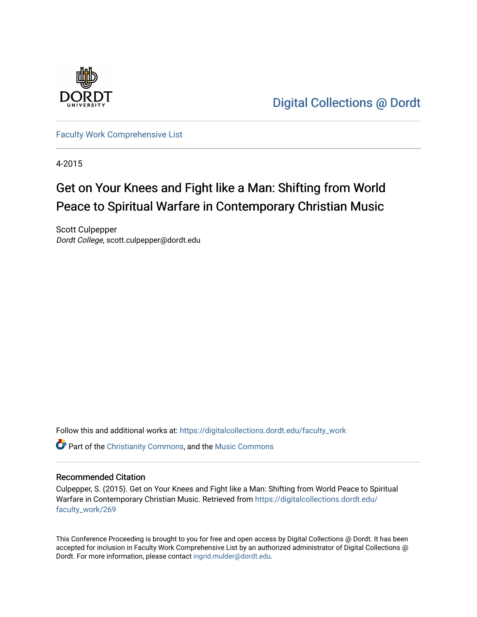

[Digital Collections @ Dordt](https://digitalcollections.dordt.edu/) 

[Faculty Work Comprehensive List](https://digitalcollections.dordt.edu/faculty_work)

4-2015

# Get on Your Knees and Fight like a Man: Shifting from World Peace to Spiritual Warfare in Contemporary Christian Music

Scott Culpepper Dordt College, scott.culpepper@dordt.edu

Follow this and additional works at: [https://digitalcollections.dordt.edu/faculty\\_work](https://digitalcollections.dordt.edu/faculty_work?utm_source=digitalcollections.dordt.edu%2Ffaculty_work%2F269&utm_medium=PDF&utm_campaign=PDFCoverPages) 

**C** Part of the [Christianity Commons,](http://network.bepress.com/hgg/discipline/1181?utm_source=digitalcollections.dordt.edu%2Ffaculty_work%2F269&utm_medium=PDF&utm_campaign=PDFCoverPages) and the Music Commons

#### Recommended Citation

Culpepper, S. (2015). Get on Your Knees and Fight like a Man: Shifting from World Peace to Spiritual Warfare in Contemporary Christian Music. Retrieved from [https://digitalcollections.dordt.edu/](https://digitalcollections.dordt.edu/faculty_work/269?utm_source=digitalcollections.dordt.edu%2Ffaculty_work%2F269&utm_medium=PDF&utm_campaign=PDFCoverPages) [faculty\\_work/269](https://digitalcollections.dordt.edu/faculty_work/269?utm_source=digitalcollections.dordt.edu%2Ffaculty_work%2F269&utm_medium=PDF&utm_campaign=PDFCoverPages)

This Conference Proceeding is brought to you for free and open access by Digital Collections @ Dordt. It has been accepted for inclusion in Faculty Work Comprehensive List by an authorized administrator of Digital Collections @ Dordt. For more information, please contact [ingrid.mulder@dordt.edu.](mailto:ingrid.mulder@dordt.edu)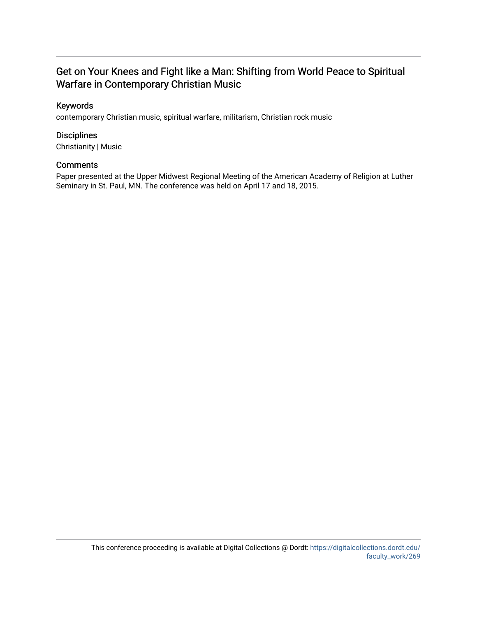## Get on Your Knees and Fight like a Man: Shifting from World Peace to Spiritual Warfare in Contemporary Christian Music

### Keywords

contemporary Christian music, spiritual warfare, militarism, Christian rock music

#### **Disciplines**

Christianity | Music

#### **Comments**

Paper presented at the Upper Midwest Regional Meeting of the American Academy of Religion at Luther Seminary in St. Paul, MN. The conference was held on April 17 and 18, 2015.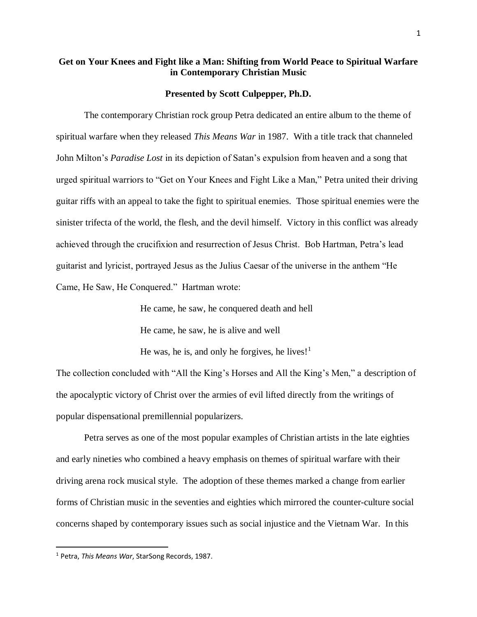### **Get on Your Knees and Fight like a Man: Shifting from World Peace to Spiritual Warfare in Contemporary Christian Music**

#### **Presented by Scott Culpepper, Ph.D.**

The contemporary Christian rock group Petra dedicated an entire album to the theme of spiritual warfare when they released *This Means War* in 1987. With a title track that channeled John Milton's *Paradise Lost* in its depiction of Satan's expulsion from heaven and a song that urged spiritual warriors to "Get on Your Knees and Fight Like a Man," Petra united their driving guitar riffs with an appeal to take the fight to spiritual enemies. Those spiritual enemies were the sinister trifecta of the world, the flesh, and the devil himself. Victory in this conflict was already achieved through the crucifixion and resurrection of Jesus Christ. Bob Hartman, Petra's lead guitarist and lyricist, portrayed Jesus as the Julius Caesar of the universe in the anthem "He Came, He Saw, He Conquered." Hartman wrote:

> He came, he saw, he conquered death and hell He came, he saw, he is alive and well

He was, he is, and only he forgives, he lives! $<sup>1</sup>$ </sup>

The collection concluded with "All the King's Horses and All the King's Men," a description of the apocalyptic victory of Christ over the armies of evil lifted directly from the writings of popular dispensational premillennial popularizers.

Petra serves as one of the most popular examples of Christian artists in the late eighties and early nineties who combined a heavy emphasis on themes of spiritual warfare with their driving arena rock musical style. The adoption of these themes marked a change from earlier forms of Christian music in the seventies and eighties which mirrored the counter-culture social concerns shaped by contemporary issues such as social injustice and the Vietnam War. In this

<sup>1</sup> Petra, *This Means War*, StarSong Records, 1987.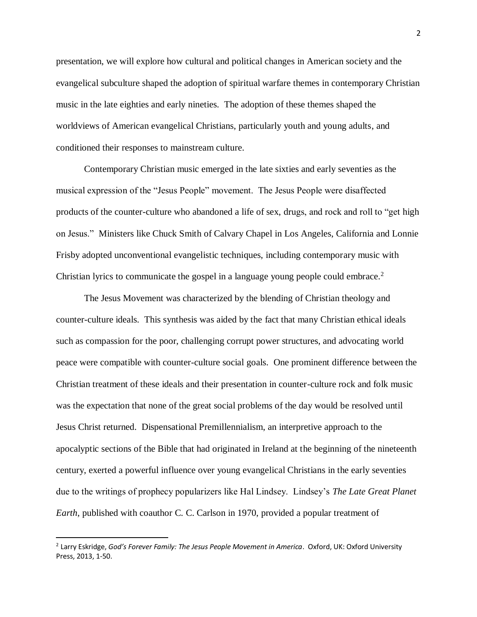presentation, we will explore how cultural and political changes in American society and the evangelical subculture shaped the adoption of spiritual warfare themes in contemporary Christian music in the late eighties and early nineties. The adoption of these themes shaped the worldviews of American evangelical Christians, particularly youth and young adults, and conditioned their responses to mainstream culture.

Contemporary Christian music emerged in the late sixties and early seventies as the musical expression of the "Jesus People" movement. The Jesus People were disaffected products of the counter-culture who abandoned a life of sex, drugs, and rock and roll to "get high on Jesus." Ministers like Chuck Smith of Calvary Chapel in Los Angeles, California and Lonnie Frisby adopted unconventional evangelistic techniques, including contemporary music with Christian lyrics to communicate the gospel in a language young people could embrace.<sup>2</sup>

The Jesus Movement was characterized by the blending of Christian theology and counter-culture ideals. This synthesis was aided by the fact that many Christian ethical ideals such as compassion for the poor, challenging corrupt power structures, and advocating world peace were compatible with counter-culture social goals. One prominent difference between the Christian treatment of these ideals and their presentation in counter-culture rock and folk music was the expectation that none of the great social problems of the day would be resolved until Jesus Christ returned. Dispensational Premillennialism, an interpretive approach to the apocalyptic sections of the Bible that had originated in Ireland at the beginning of the nineteenth century, exerted a powerful influence over young evangelical Christians in the early seventies due to the writings of prophecy popularizers like Hal Lindsey. Lindsey's *The Late Great Planet Earth*, published with coauthor C. C. Carlson in 1970, provided a popular treatment of

<sup>2</sup> Larry Eskridge, *God's Forever Family: The Jesus People Movement in America*. Oxford, UK: Oxford University Press, 2013, 1-50.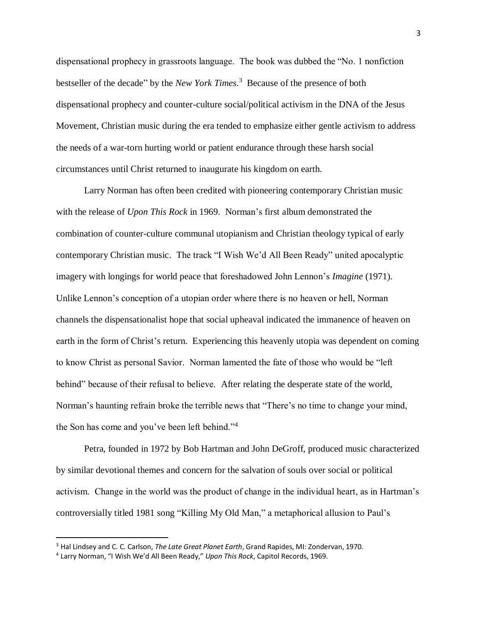dispensational prophecy in grassroots language. The book was dubbed the "No. 1 nonfiction bestseller of the decade" by the *New York Times*. 3 Because of the presence of both dispensational prophecy and counter-culture social/political activism in the DNA of the Jesus Movement, Christian music during the era tended to emphasize either gentle activism to address the needs of a war-torn hurting world or patient endurance through these harsh social circumstances until Christ returned to inaugurate his kingdom on earth.

Larry Norman has often been credited with pioneering contemporary Christian music with the release of *Upon This Rock* in 1969. Norman's first album demonstrated the combination of counter-culture communal utopianism and Christian theology typical of early contemporary Christian music. The track "I Wish We'd All Been Ready" united apocalyptic imagery with longings for world peace that foreshadowed John Lennon's *Imagine* (1971). Unlike Lennon's conception of a utopian order where there is no heaven or hell, Norman channels the dispensationalist hope that social upheaval indicated the immanence of heaven on earth in the form of Christ's return. Experiencing this heavenly utopia was dependent on coming to know Christ as personal Savior. Norman lamented the fate of those who would be "left behind" because of their refusal to believe. After relating the desperate state of the world, Norman's haunting refrain broke the terrible news that "There's no time to change your mind, the Son has come and you've been left behind."<sup>4</sup>

Petra, founded in 1972 by Bob Hartman and John DeGroff, produced music characterized by similar devotional themes and concern for the salvation of souls over social or political activism. Change in the world was the product of change in the individual heart, as in Hartman's controversially titled 1981 song "Killing My Old Man," a metaphorical allusion to Paul's

<sup>3</sup> Hal Lindsey and C. C. Carlson, *The Late Great Planet Earth*, Grand Rapides, MI: Zondervan, 1970.

<sup>4</sup> Larry Norman, "I Wish We'd All Been Ready," *Upon This Rock*, Capitol Records, 1969.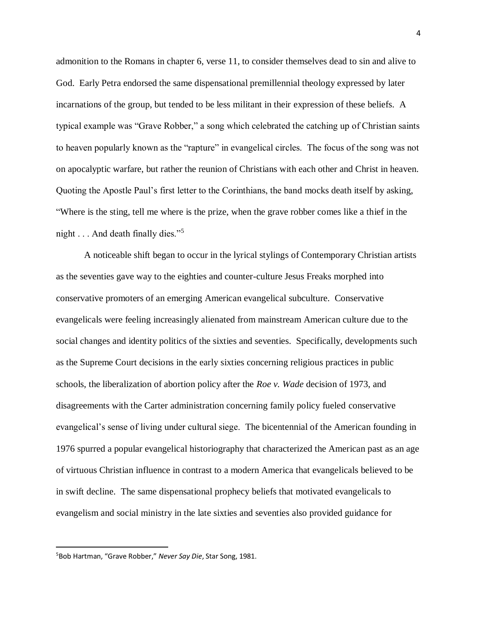admonition to the Romans in chapter 6, verse 11, to consider themselves dead to sin and alive to God. Early Petra endorsed the same dispensational premillennial theology expressed by later incarnations of the group, but tended to be less militant in their expression of these beliefs. A typical example was "Grave Robber," a song which celebrated the catching up of Christian saints to heaven popularly known as the "rapture" in evangelical circles. The focus of the song was not on apocalyptic warfare, but rather the reunion of Christians with each other and Christ in heaven. Quoting the Apostle Paul's first letter to the Corinthians, the band mocks death itself by asking, "Where is the sting, tell me where is the prize, when the grave robber comes like a thief in the night . . . And death finally dies."<sup>5</sup>

A noticeable shift began to occur in the lyrical stylings of Contemporary Christian artists as the seventies gave way to the eighties and counter-culture Jesus Freaks morphed into conservative promoters of an emerging American evangelical subculture. Conservative evangelicals were feeling increasingly alienated from mainstream American culture due to the social changes and identity politics of the sixties and seventies. Specifically, developments such as the Supreme Court decisions in the early sixties concerning religious practices in public schools, the liberalization of abortion policy after the *Roe v. Wade* decision of 1973, and disagreements with the Carter administration concerning family policy fueled conservative evangelical's sense of living under cultural siege. The bicentennial of the American founding in 1976 spurred a popular evangelical historiography that characterized the American past as an age of virtuous Christian influence in contrast to a modern America that evangelicals believed to be in swift decline. The same dispensational prophecy beliefs that motivated evangelicals to evangelism and social ministry in the late sixties and seventies also provided guidance for

<sup>5</sup>Bob Hartman, "Grave Robber," *Never Say Die*, Star Song, 1981.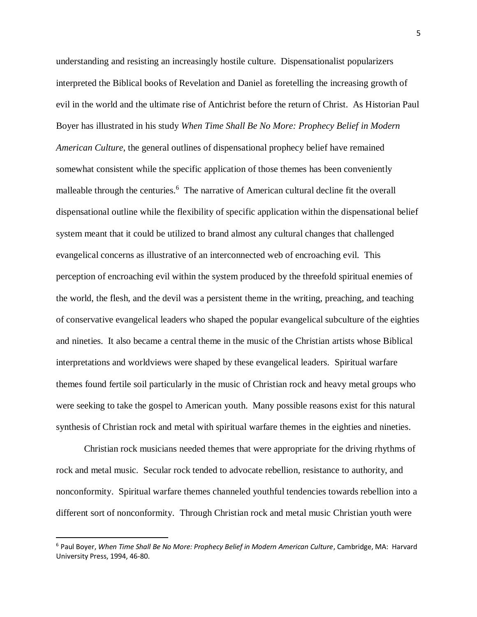understanding and resisting an increasingly hostile culture. Dispensationalist popularizers interpreted the Biblical books of Revelation and Daniel as foretelling the increasing growth of evil in the world and the ultimate rise of Antichrist before the return of Christ. As Historian Paul Boyer has illustrated in his study *When Time Shall Be No More: Prophecy Belief in Modern American Culture*, the general outlines of dispensational prophecy belief have remained somewhat consistent while the specific application of those themes has been conveniently malleable through the centuries.<sup>6</sup> The narrative of American cultural decline fit the overall dispensational outline while the flexibility of specific application within the dispensational belief system meant that it could be utilized to brand almost any cultural changes that challenged evangelical concerns as illustrative of an interconnected web of encroaching evil. This perception of encroaching evil within the system produced by the threefold spiritual enemies of the world, the flesh, and the devil was a persistent theme in the writing, preaching, and teaching of conservative evangelical leaders who shaped the popular evangelical subculture of the eighties and nineties. It also became a central theme in the music of the Christian artists whose Biblical interpretations and worldviews were shaped by these evangelical leaders. Spiritual warfare themes found fertile soil particularly in the music of Christian rock and heavy metal groups who were seeking to take the gospel to American youth. Many possible reasons exist for this natural synthesis of Christian rock and metal with spiritual warfare themes in the eighties and nineties.

Christian rock musicians needed themes that were appropriate for the driving rhythms of rock and metal music. Secular rock tended to advocate rebellion, resistance to authority, and nonconformity. Spiritual warfare themes channeled youthful tendencies towards rebellion into a different sort of nonconformity. Through Christian rock and metal music Christian youth were

<sup>6</sup> Paul Boyer, *When Time Shall Be No More: Prophecy Belief in Modern American Culture*, Cambridge, MA: Harvard University Press, 1994, 46-80.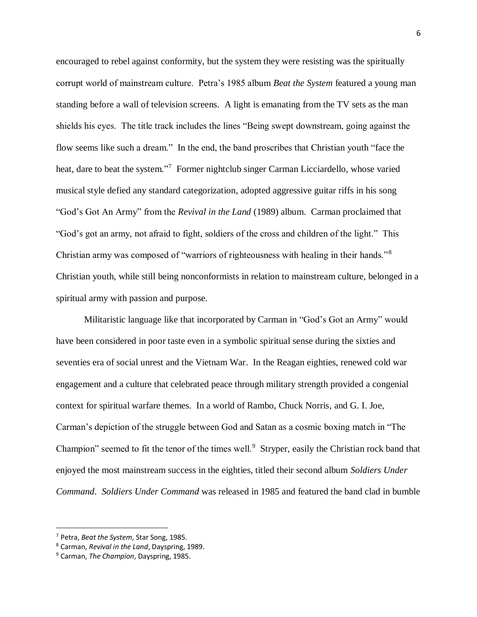encouraged to rebel against conformity, but the system they were resisting was the spiritually corrupt world of mainstream culture. Petra's 1985 album *Beat the System* featured a young man standing before a wall of television screens. A light is emanating from the TV sets as the man shields his eyes. The title track includes the lines "Being swept downstream, going against the flow seems like such a dream." In the end, the band proscribes that Christian youth "face the heat, dare to beat the system."<sup>7</sup> Former nightclub singer Carman Licciardello, whose varied musical style defied any standard categorization, adopted aggressive guitar riffs in his song "God's Got An Army" from the *Revival in the Land* (1989) album. Carman proclaimed that "God's got an army, not afraid to fight, soldiers of the cross and children of the light." This Christian army was composed of "warriors of righteousness with healing in their hands."<sup>8</sup> Christian youth, while still being nonconformists in relation to mainstream culture, belonged in a spiritual army with passion and purpose.

Militaristic language like that incorporated by Carman in "God's Got an Army" would have been considered in poor taste even in a symbolic spiritual sense during the sixties and seventies era of social unrest and the Vietnam War. In the Reagan eighties, renewed cold war engagement and a culture that celebrated peace through military strength provided a congenial context for spiritual warfare themes. In a world of Rambo, Chuck Norris, and G. I. Joe, Carman's depiction of the struggle between God and Satan as a cosmic boxing match in "The Champion" seemed to fit the tenor of the times well.<sup>9</sup> Stryper, easily the Christian rock band that enjoyed the most mainstream success in the eighties, titled their second album *Soldiers Under Command*. *Soldiers Under Command* was released in 1985 and featured the band clad in bumble

<sup>7</sup> Petra, *Beat the System*, Star Song, 1985.

<sup>8</sup> Carman, *Revival in the Land*, Dayspring, 1989.

<sup>9</sup> Carman, *The Champion*, Dayspring, 1985.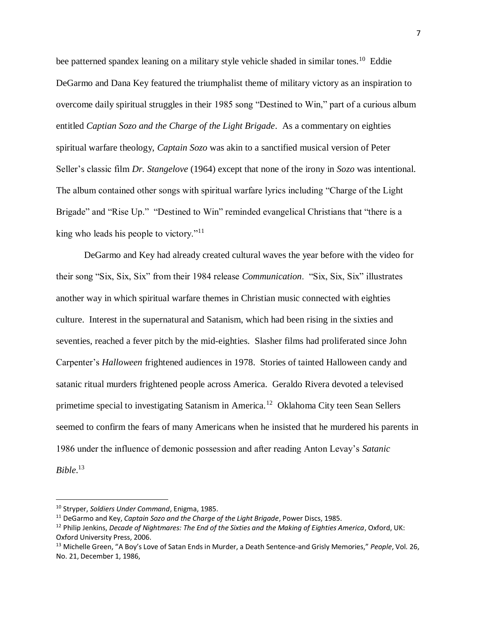bee patterned spandex leaning on a military style vehicle shaded in similar tones.<sup>10</sup> Eddie DeGarmo and Dana Key featured the triumphalist theme of military victory as an inspiration to overcome daily spiritual struggles in their 1985 song "Destined to Win," part of a curious album entitled *Captian Sozo and the Charge of the Light Brigade*. As a commentary on eighties spiritual warfare theology, *Captain Sozo* was akin to a sanctified musical version of Peter Seller's classic film *Dr. Stangelove* (1964) except that none of the irony in *Sozo* was intentional. The album contained other songs with spiritual warfare lyrics including "Charge of the Light Brigade" and "Rise Up." "Destined to Win" reminded evangelical Christians that "there is a king who leads his people to victory."<sup>11</sup>

DeGarmo and Key had already created cultural waves the year before with the video for their song "Six, Six, Six" from their 1984 release *Communication*. "Six, Six, Six" illustrates another way in which spiritual warfare themes in Christian music connected with eighties culture. Interest in the supernatural and Satanism, which had been rising in the sixties and seventies, reached a fever pitch by the mid-eighties. Slasher films had proliferated since John Carpenter's *Halloween* frightened audiences in 1978. Stories of tainted Halloween candy and satanic ritual murders frightened people across America. Geraldo Rivera devoted a televised primetime special to investigating Satanism in America.<sup>12</sup> Oklahoma City teen Sean Sellers seemed to confirm the fears of many Americans when he insisted that he murdered his parents in 1986 under the influence of demonic possession and after reading Anton Levay's *Satanic Bible*. 13

<sup>10</sup> Stryper, *Soldiers Under Command*, Enigma, 1985.

<sup>11</sup> DeGarmo and Key, *Captain Sozo and the Charge of the Light Brigade*, Power Discs, 1985.

<sup>12</sup> Philip Jenkins, *Decade of Nightmares: The End of the Sixties and the Making of Eighties America*, Oxford, UK: Oxford University Press, 2006.

<sup>13</sup> Michelle Green, "A Boy's Love of Satan Ends in Murder, a Death Sentence-and Grisly Memories," *People*, Vol. 26, No. 21, December 1, 1986,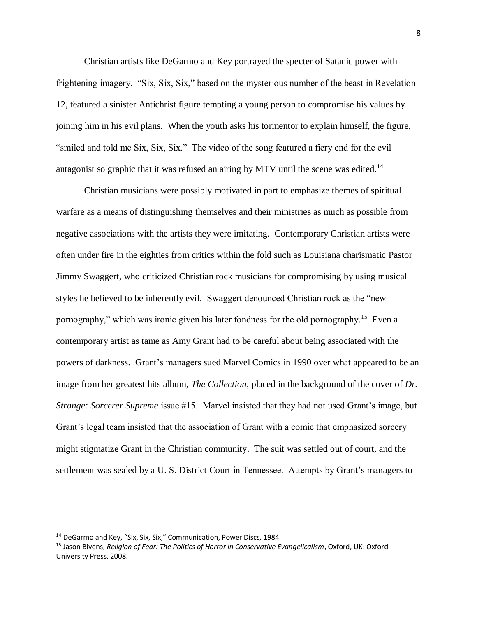Christian artists like DeGarmo and Key portrayed the specter of Satanic power with frightening imagery. "Six, Six, Six," based on the mysterious number of the beast in Revelation 12, featured a sinister Antichrist figure tempting a young person to compromise his values by joining him in his evil plans. When the youth asks his tormentor to explain himself, the figure, "smiled and told me Six, Six, Six." The video of the song featured a fiery end for the evil antagonist so graphic that it was refused an airing by MTV until the scene was edited.<sup>14</sup>

Christian musicians were possibly motivated in part to emphasize themes of spiritual warfare as a means of distinguishing themselves and their ministries as much as possible from negative associations with the artists they were imitating. Contemporary Christian artists were often under fire in the eighties from critics within the fold such as Louisiana charismatic Pastor Jimmy Swaggert, who criticized Christian rock musicians for compromising by using musical styles he believed to be inherently evil. Swaggert denounced Christian rock as the "new pornography," which was ironic given his later fondness for the old pornography.<sup>15</sup> Even a contemporary artist as tame as Amy Grant had to be careful about being associated with the powers of darkness. Grant's managers sued Marvel Comics in 1990 over what appeared to be an image from her greatest hits album, *The Collection*, placed in the background of the cover of *Dr. Strange: Sorcerer Supreme* issue #15. Marvel insisted that they had not used Grant's image, but Grant's legal team insisted that the association of Grant with a comic that emphasized sorcery might stigmatize Grant in the Christian community. The suit was settled out of court, and the settlement was sealed by a U. S. District Court in Tennessee. Attempts by Grant's managers to

<sup>&</sup>lt;sup>14</sup> DeGarmo and Key, "Six, Six, Six," Communication, Power Discs, 1984.

<sup>15</sup> Jason Bivens, *Religion of Fear: The Politics of Horror in Conservative Evangelicalism*, Oxford, UK: Oxford University Press, 2008.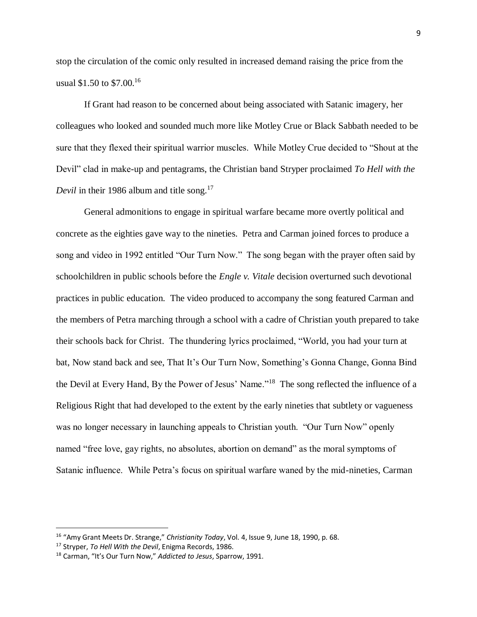stop the circulation of the comic only resulted in increased demand raising the price from the usual \$1.50 to \$7.00.<sup>16</sup>

If Grant had reason to be concerned about being associated with Satanic imagery, her colleagues who looked and sounded much more like Motley Crue or Black Sabbath needed to be sure that they flexed their spiritual warrior muscles. While Motley Crue decided to "Shout at the Devil" clad in make-up and pentagrams, the Christian band Stryper proclaimed *To Hell with the*  Devil in their 1986 album and title song.<sup>17</sup>

General admonitions to engage in spiritual warfare became more overtly political and concrete as the eighties gave way to the nineties. Petra and Carman joined forces to produce a song and video in 1992 entitled "Our Turn Now." The song began with the prayer often said by schoolchildren in public schools before the *Engle v. Vitale* decision overturned such devotional practices in public education. The video produced to accompany the song featured Carman and the members of Petra marching through a school with a cadre of Christian youth prepared to take their schools back for Christ. The thundering lyrics proclaimed, "World, you had your turn at bat, Now stand back and see, That It's Our Turn Now, Something's Gonna Change, Gonna Bind the Devil at Every Hand, By the Power of Jesus' Name."<sup>18</sup> The song reflected the influence of a Religious Right that had developed to the extent by the early nineties that subtlety or vagueness was no longer necessary in launching appeals to Christian youth. "Our Turn Now" openly named "free love, gay rights, no absolutes, abortion on demand" as the moral symptoms of Satanic influence. While Petra's focus on spiritual warfare waned by the mid-nineties, Carman

<sup>16</sup> "Amy Grant Meets Dr. Strange," *Christianity Today*, Vol. 4, Issue 9, June 18, 1990, p. 68.

<sup>17</sup> Stryper, *To Hell With the Devil*, Enigma Records, 1986.

<sup>18</sup> Carman, "It's Our Turn Now," *Addicted to Jesus*, Sparrow, 1991.